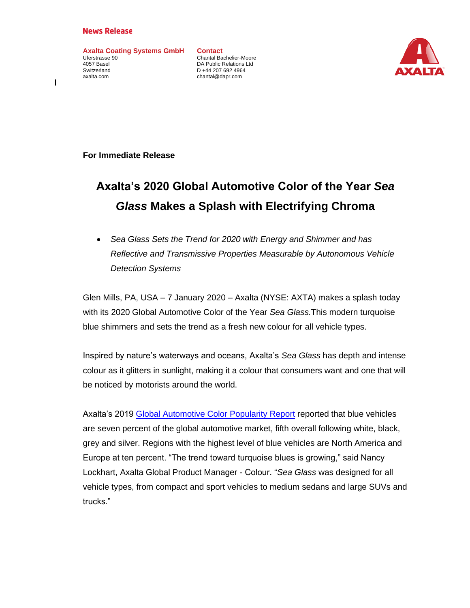## **News Release**

**Axalta Coating Systems GmbH** Uferstrasse 90 4057 Basel Switzerland axalta.com

**Contact** Chantal Bachelier-Moore DA Public Relations Ltd D +44 207 692 4964 chantal@dapr.com



**For Immediate Release**

## **Axalta's 2020 Global Automotive Color of the Year** *Sea Glass* **Makes a Splash with Electrifying Chroma**

• *Sea Glass Sets the Trend for 2020 with Energy and Shimmer and has Reflective and Transmissive Properties Measurable by Autonomous Vehicle Detection Systems*

Glen Mills, PA, USA – 7 January 2020 – Axalta (NYSE: AXTA) makes a splash today with its 2020 Global Automotive Color of the Year *Sea Glass.*This modern turquoise blue shimmers and sets the trend as a fresh new colour for all vehicle types.

Inspired by nature's waterways and oceans, Axalta's *Sea Glass* has depth and intense colour as it glitters in sunlight, making it a colour that consumers want and one that will be noticed by motorists around the world.

Axalta's 2019 [Global Automotive Color Popularity Report](https://www.axalta.com/content/dam/New%20Axalta%20Corporate%20Website/Documents/Brochures/2019AxaltaColorPopularityReport.pdf) reported that blue vehicles are seven percent of the global automotive market, fifth overall following white, black, grey and silver. Regions with the highest level of blue vehicles are North America and Europe at ten percent. "The trend toward turquoise blues is growing," said Nancy Lockhart, Axalta Global Product Manager - Colour. "*Sea Glass* was designed for all vehicle types, from compact and sport vehicles to medium sedans and large SUVs and trucks."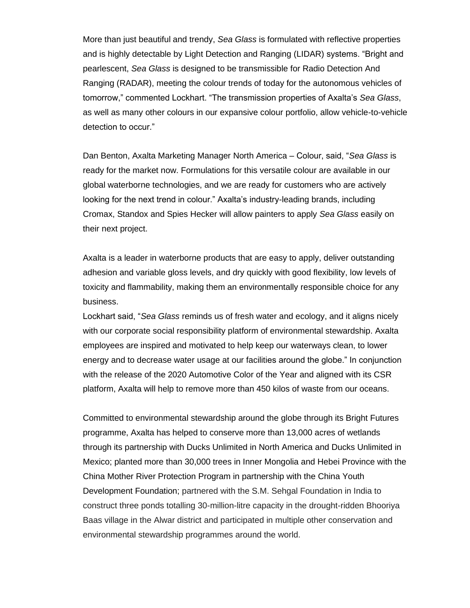More than just beautiful and trendy, *Sea Glass* is formulated with reflective properties and is highly detectable by Light Detection and Ranging (LIDAR) systems. "Bright and pearlescent, *Sea Glass* is designed to be transmissible for Radio Detection And Ranging (RADAR), meeting the colour trends of today for the autonomous vehicles of tomorrow," commented Lockhart. "The transmission properties of Axalta's *Sea Glass*, as well as many other colours in our expansive colour portfolio, allow vehicle-to-vehicle detection to occur."

Dan Benton, Axalta Marketing Manager North America – Colour, said, "*Sea Glass* is ready for the market now. Formulations for this versatile colour are available in our global waterborne technologies, and we are ready for customers who are actively looking for the next trend in colour." Axalta's industry-leading brands, including Cromax, Standox and Spies Hecker will allow painters to apply *Sea Glass* easily on their next project.

Axalta is a leader in waterborne products that are easy to apply, deliver outstanding adhesion and variable gloss levels, and dry quickly with good flexibility, low levels of toxicity and flammability, making them an environmentally responsible choice for any business.

Lockhart said, "*Sea Glass* reminds us of fresh water and ecology, and it aligns nicely with our corporate social responsibility platform of environmental stewardship. Axalta employees are inspired and motivated to help keep our waterways clean, to lower energy and to decrease water usage at our facilities around the globe." In conjunction with the release of the 2020 Automotive Color of the Year and aligned with its CSR platform, Axalta will help to remove more than 450 kilos of waste from our oceans.

Committed to environmental stewardship around the globe through its Bright Futures programme, Axalta has helped to conserve more than 13,000 acres of wetlands through its partnership with Ducks Unlimited in North America and Ducks Unlimited in Mexico; planted more than 30,000 trees in Inner Mongolia and Hebei Province with the China Mother River Protection Program in partnership with the China Youth Development Foundation; partnered with the S.M. Sehgal Foundation in India to construct three ponds totalling 30-million-litre capacity in the drought-ridden Bhooriya Baas village in the Alwar district and participated in multiple other conservation and environmental stewardship programmes around the world.